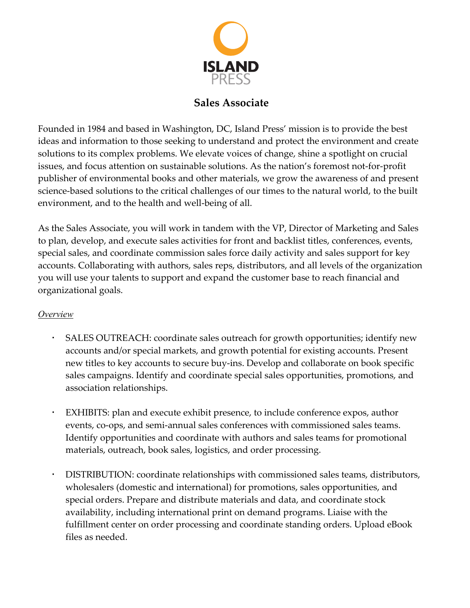

# **Sales Associate**

Founded in 1984 and based in Washington, DC, Island Press' mission is to provide the best ideas and information to those seeking to understand and protect the environment and create solutions to its complex problems. We elevate voices of change, shine a spotlight on crucial issues, and focus attention on sustainable solutions. As the nation's foremost not‐for‐profit publisher of environmental books and other materials, we grow the awareness of and present science-based solutions to the critical challenges of our times to the natural world, to the built environment, and to the health and well-being of all.

As the Sales Associate, you will work in tandem with the VP, Director of Marketing and Sales to plan, develop, and execute sales activities for front and backlist titles, conferences, events, special sales, and coordinate commission sales force daily activity and sales support for key accounts. Collaborating with authors, sales reps, distributors, and all levels of the organization you will use your talents to support and expand the customer base to reach financial and organizational goals.

## *Overview*

- SALES OUTREACH: coordinate sales outreach for growth opportunities; identify new accounts and/or special markets, and growth potential for existing accounts. Present new titles to key accounts to secure buy‐ins. Develop and collaborate on book specific sales campaigns. Identify and coordinate special sales opportunities, promotions, and association relationships.
- EXHIBITS: plan and execute exhibit presence, to include conference expos, author events, co-ops, and semi-annual sales conferences with commissioned sales teams. Identify opportunities and coordinate with authors and sales teams for promotional materials, outreach, book sales, logistics, and order processing.
- DISTRIBUTION: coordinate relationships with commissioned sales teams, distributors, wholesalers (domestic and international) for promotions, sales opportunities, and special orders. Prepare and distribute materials and data, and coordinate stock availability, including international print on demand programs. Liaise with the fulfillment center on order processing and coordinate standing orders. Upload eBook files as needed.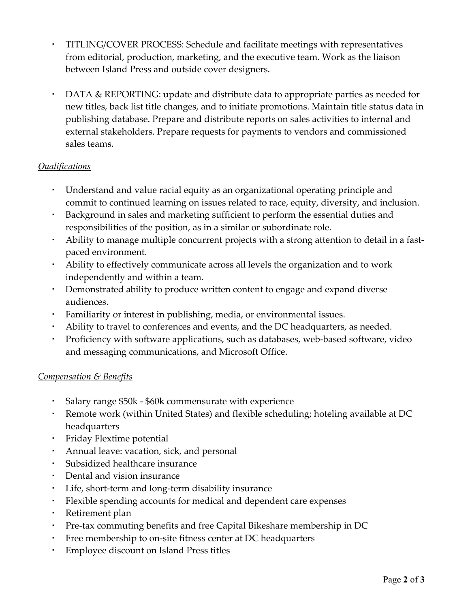- TITLING/COVER PROCESS: Schedule and facilitate meetings with representatives from editorial, production, marketing, and the executive team. Work as the liaison between Island Press and outside cover designers.
- DATA & REPORTING: update and distribute data to appropriate parties as needed for new titles, back list title changes, and to initiate promotions. Maintain title status data in publishing database. Prepare and distribute reports on sales activities to internal and external stakeholders. Prepare requests for payments to vendors and commissioned sales teams.

## *Qualifications*

- Understand and value racial equity as an organizational operating principle and commit to continued learning on issues related to race, equity, diversity, and inclusion.
- Background in sales and marketing sufficient to perform the essential duties and responsibilities of the position, as in a similar or subordinate role.
- Ability to manage multiple concurrent projects with a strong attention to detail in a fast‐ paced environment.
- Ability to effectively communicate across all levels the organization and to work independently and within a team.
- Demonstrated ability to produce written content to engage and expand diverse audiences.
- Familiarity or interest in publishing, media, or environmental issues.
- Ability to travel to conferences and events, and the DC headquarters, as needed.
- Proficiency with software applications, such as databases, web‐based software, video and messaging communications, and Microsoft Office.

## *Compensation & Benefits*

- Salary range \$50k ‐ \$60k commensurate with experience
- Remote work (within United States) and flexible scheduling; hoteling available at DC headquarters
- Friday Flextime potential
- Annual leave: vacation, sick, and personal
- Subsidized healthcare insurance
- Dental and vision insurance
- Life, short-term and long-term disability insurance
- Flexible spending accounts for medical and dependent care expenses
- Retirement plan
- Pre-tax commuting benefits and free Capital Bikeshare membership in DC
- Free membership to on-site fitness center at DC headquarters
- Employee discount on Island Press titles